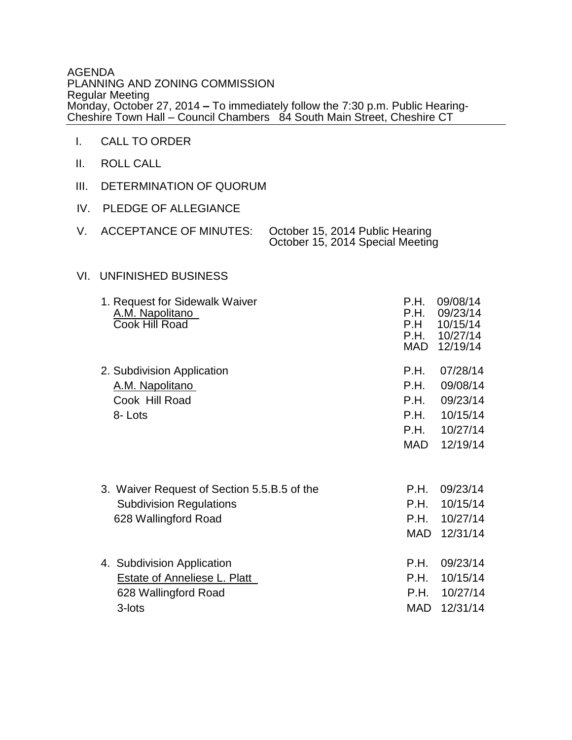## AGENDA PLANNING AND ZONING COMMISSION Regular Meeting Monday, October 27, 2014 **–** To immediately follow the 7:30 p.m. Public Hearing-Cheshire Town Hall – Council Chambers 84 South Main Street, Cheshire CT

- I. CALL TO ORDER
- II. ROLL CALL
- III. DETERMINATION OF QUORUM
- IV. PLEDGE OF ALLEGIANCE

|  | ACCEPTANCE OF MINUTES: October 15, 2014 Public Hearing |
|--|--------------------------------------------------------|
|  | October 15, 2014 Special Meeting                       |

## VI. UNFINISHED BUSINESS

| 1. Request for Sidewalk Waiver<br>A.M. Napolitano<br>Cook Hill Road                                   | P.H.<br>P.H.<br>P.H<br>P.H.<br>MAD           | 09/08/14<br>09/23/14<br>10/15/14<br>10/27/14<br>12/19/14             |
|-------------------------------------------------------------------------------------------------------|----------------------------------------------|----------------------------------------------------------------------|
| 2. Subdivision Application<br>A.M. Napolitano<br>Cook Hill Road<br>8-Lots                             | P.H.<br>P.H.<br>P.H.<br>P.H.<br>P.H.<br>MAD. | 07/28/14<br>09/08/14<br>09/23/14<br>10/15/14<br>10/27/14<br>12/19/14 |
| 3. Waiver Request of Section 5.5.B.5 of the<br><b>Subdivision Regulations</b><br>628 Wallingford Road | P.H.<br>P.H.<br>P.H.<br><b>MAD</b>           | 09/23/14<br>10/15/14<br>10/27/14<br>12/31/14                         |
| 4. Subdivision Application<br>Estate of Anneliese L. Platt<br>628 Wallingford Road<br>3-lots          | P.H.<br>P.H.<br>P.H.<br><b>MAD</b>           | 09/23/14<br>10/15/14<br>10/27/14<br>12/31/14                         |